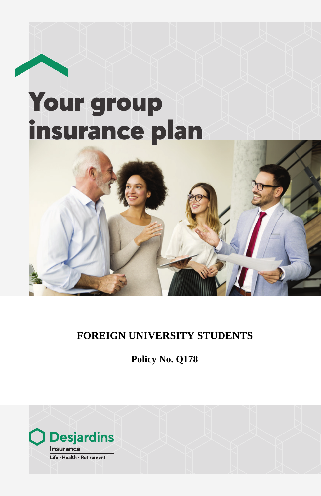# Your group insurance plan



**Policy No. Q178**

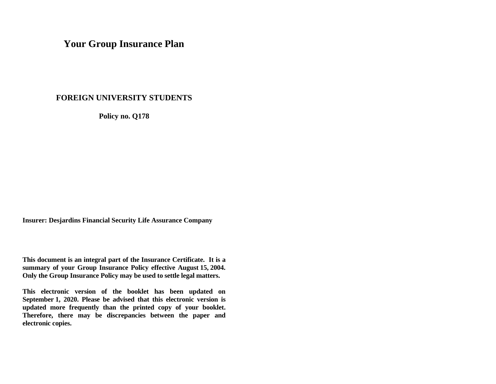# **Your Group Insurance Plan**

# **FOREIGN UNIVERSITY STUDENTS**

**Policy no. Q178** 

**Insurer: Desjardins Financial Security Life Assurance Company** 

**This document is an integral part of the Insurance Certificate. It is a summary of your Group Insurance Policy effective August 15, 2004. Only the Group Insurance Policy may be used to settle legal matters.** 

**This electronic version of the booklet has been updated on September 1, 2020. Please be advised that this electronic version is updated more frequently than the printed copy of your booklet. Therefore, there may be discrepancies between the paper and electronic copies.**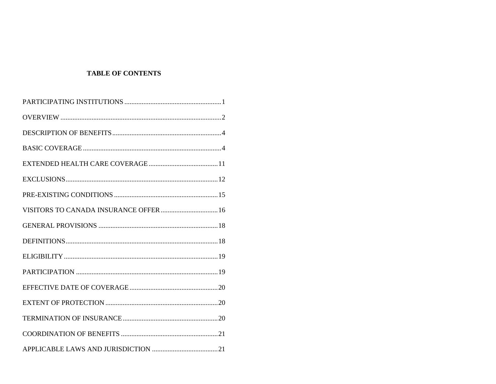# **TABLE OF CONTENTS**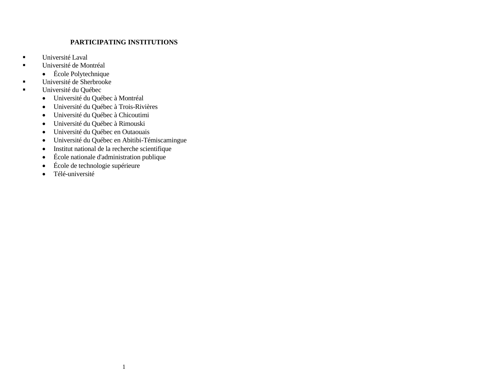# **PARTICIPATING INSTITUTIONS**

- <span id="page-4-0"></span> $\blacksquare$  Université Laval
- Université de Montréal
	- École Polytechnique
- Université de Sherbrooke
- Université du Québec
	- Université du Québec à Montréal
	- Université du Québec à Trois-Rivières
	- Université du Québec à Chicoutimi
	- Université du Québec à Rimouski
	- Université du Québec en Outaouais
	- Université du Québec en Abitibi-Témiscamingue
	- Institut national de la recherche scientifique
	- École nationale d'administration publique
	- École de technologie supérieure
	- Télé-université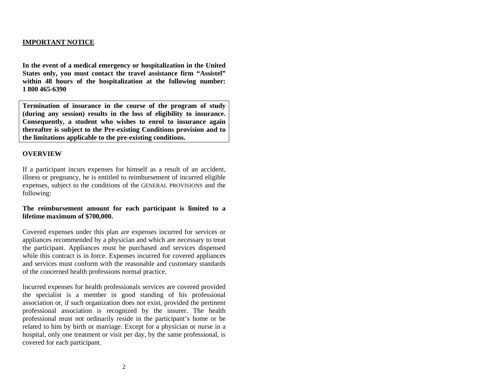# **IMPORTANT NOTICE**

**In the event of a medical emergency or hospitalization in the United States only, you must contact the travel assistance firm "Assistel" within 48 hours of the hospitalization at the following number: 1 800 465-6390** 

**Termination of insurance in the course of the program of study (during any session) results in the loss of eligibility to insurance. Consequently, a student who wishes to enrol to insurance again thereafter is subject to the Pre-existing Conditions provision and to the limitations applicable to the pre-existing conditions.** 

#### <span id="page-5-0"></span>**OVERVIEW**

If a participant incurs expenses for himself as a result of an accident, illness or pregnancy, he is entitled to reimbursement of incurred eligible expenses, subject to the conditions of the GENERAL PROVISIONS and the following:

#### **The reimbursement amount for each participant is limited to a lifetime maximum of \$700,000.**

Covered expenses under this plan are expenses incurred for services or appliances recommended by a physician and which are necessary to treat the participant. Appliances must be purchased and services dispensed while this contract is in force. Expenses incurred for covered appliances and services must conform with the reasonable and customary standards of the concerned health professions normal practice.

Incurred expenses for health professionals services are covered provided the specialist is a member in good standing of his professional association or, if such organization does not exist, provided the pertinent professional association is recognized by the insurer. The health professional must not ordinarily reside in the participant's home or be related to him by birth or marriage. Except for a physician or nurse in a hospital, only one treatment or visit per day, by the same professional, is covered for each participant.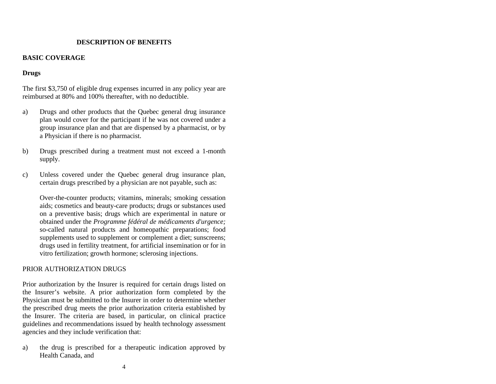# **DESCRIPTION OF BENEFITS**

#### <span id="page-6-1"></span><span id="page-6-0"></span>**BASIC COVERAGE**

# **Drugs**

The first \$3,750 of eligible drug expenses incurred in any policy year are reimbursed at 80% and 100% thereafter, with no deductible.

- a) Drugs and other products that the Quebec general drug insurance plan would cover for the participant if he was not covered under a group insurance plan and that are dispensed by a pharmacist, or by a Physician if there is no pharmacist.
- b) Drugs prescribed during a treatment must not exceed a 1-month supply.
- c) Unless covered under the Quebec general drug insurance plan, certain drugs prescribed by a physician are not payable, such as:

Over-the-counter products; vitamins, minerals; smoking cessation aids; cosmetics and beauty-care products; drugs or substances used on a preventive basis; drugs which are experimental in nature or obtained under the *Programme fédéral de médicaments d'urgence;* so-called natural products and homeopathic preparations; food supplements used to supplement or complement a diet; sunscreens; drugs used in fertility treatment, for artificial insemination or for in vitro fertilization; growth hormone; sclerosing injections.

#### PRIOR AUTHORIZATION DRUGS

Prior authorization by the Insurer is required for certain drugs listed on the Insurer's website. A prior authorization form completed by the Physician must be submitted to the Insurer in order to determine whether the prescribed drug meets the prior authorization criteria established by the Insurer. The criteria are based, in particular, on clinical practice guidelines and recommendations issued by health technology assessment agencies and they include verification that:

a) the drug is prescribed for a therapeutic indication approved by Health Canada, and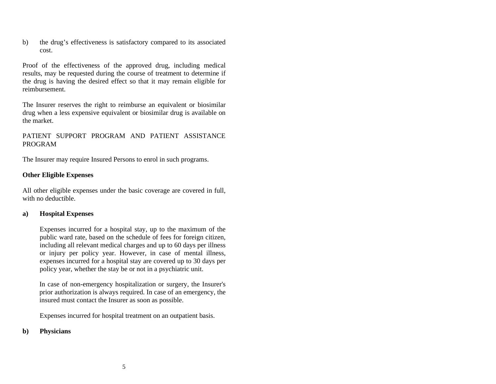b) the drug's effectiveness is satisfactory compared to its associated cost.

Proof of the effectiveness of the approved drug, including medical results, may be requested during the course of treatment to determine if the drug is having the desired effect so that it may remain eligible for reimbursement.

The Insurer reserves the right to reimburse an equivalent or biosimilar drug when a less expensive equivalent or biosimilar drug is available on the market.

# PATIENT SUPPORT PROGRAM AND PATIENT ASSISTANCE PROGRAM

The Insurer may require Insured Persons to enrol in such programs.

# **Other Eligible Expenses**

All other eligible expenses under the basic coverage are covered in full, with no deductible.

# **a) Hospital Expenses**

Expenses incurred for a hospital stay, up to the maximum of the public ward rate, based on the schedule of fees for foreign citizen, including all relevant medical charges and up to 60 days per illness or injury per policy year. However, in case of mental illness, expenses incurred for a hospital stay are covered up to 30 days per policy year, whether the stay be or not in a psychiatric unit.

In case of non-emergency hospitalization or surgery, the Insurer's prior authorization is always required. In case of an emergency, the insured must contact the Insurer as soon as possible.

Expenses incurred for hospital treatment on an outpatient basis.

#### **b) Physicians**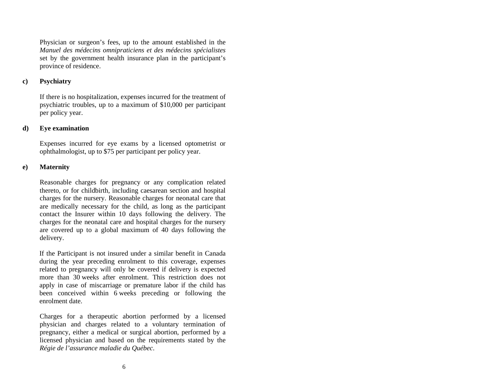Physician or surgeon's fees, up to the amount established in the *Manuel des médecins omnipraticiens et des médecins spécialistes* set by the government health insurance plan in the participant's province of residence.

#### **c) Psychiatry**

If there is no hospitalization, expenses incurred for the treatment of psychiatric troubles, up to a maximum of \$10,000 per participant per policy year.

#### **d) Eye examination**

Expenses incurred for eye exams by a licensed optometrist or ophthalmologist, up to \$75 per participant per policy year.

#### **e) Maternity**

Reasonable charges for pregnancy or any complication related thereto, or for childbirth, including caesarean section and hospital charges for the nursery. Reasonable charges for neonatal care that are medically necessary for the child, as long as the participant contact the Insurer within 10 days following the delivery. The charges for the neonatal care and hospital charges for the nursery are covered up to a global maximum of 40 days following the delivery.

If the Participant is not insured under a similar benefit in Canada during the year preceding enrolment to this coverage, expenses related to pregnancy will only be covered if delivery is expected more than 30 weeks after enrolment. This restriction does not apply in case of miscarriage or premature labor if the child has been conceived within 6 weeks preceding or following the enrolment date.

Charges for a therapeutic abortion performed by a licensed physician and charges related to a voluntary termination of pregnancy, either a medical or surgical abortion, performed by a licensed physician and based on the requirements stated by the *Régie de l'assurance maladie du Québec*.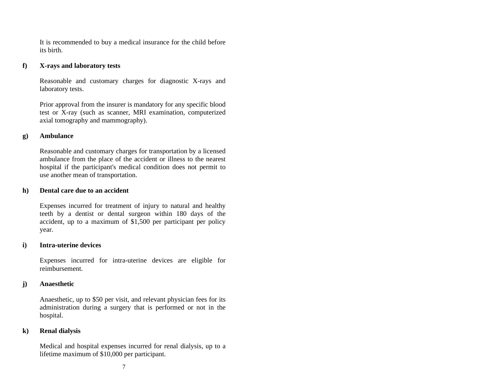It is recommended to buy a medical insurance for the child before its birth.

#### **f) X-rays and laboratory tests**

Reasonable and customary charges for diagnostic X-rays and laboratory tests.

Prior approval from the insurer is mandatory for any specific blood test or X-ray (such as scanner, MRI examination, computerized axial tomography and mammography).

#### **g) Ambulance**

Reasonable and customary charges for transportation by a licensed ambulance from the place of the accident or illness to the nearest hospital if the participant's medical condition does not permit to use another mean of transportation.

#### **h) Dental care due to an accident**

Expenses incurred for treatment of injury to natural and healthy teeth by a dentist or dental surgeon within 180 days of the accident, up to a maximum of \$1,500 per participant per policy year.

#### **i) Intra-uterine devices**

Expenses incurred for intra-uterine devices are eligible for reimbursement.

#### **j) Anaesthetic**

Anaesthetic, up to \$50 per visit, and relevant physician fees for its administration during a surgery that is performed or not in the hospital.

#### **k) Renal dialysis**

Medical and hospital expenses incurred for renal dialysis, up to a lifetime maximum of \$10,000 per participant.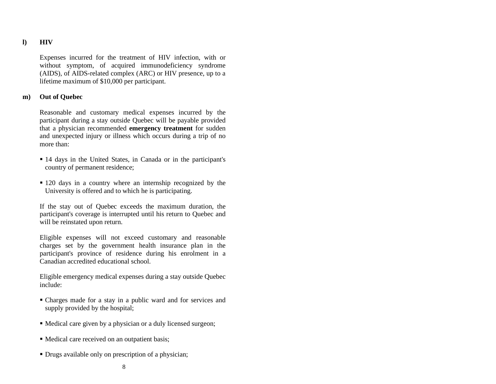# **l) HIV**

Expenses incurred for the treatment of HIV infection, with or without symptom, of acquired immunodeficiency syndrome (AIDS), of AIDS-related complex (ARC) or HIV presence, up to a lifetime maximum of \$10,000 per participant.

#### **m) Out of Quebec**

Reasonable and customary medical expenses incurred by the participant during a stay outside Quebec will be payable provided that a physician recommended **emergency treatment** for sudden and unexpected injury or illness which occurs during a trip of no more than:

- 14 days in the United States, in Canada or in the participant's country of permanent residence;
- 120 days in a country where an internship recognized by the University is offered and to which he is participating.

If the stay out of Quebec exceeds the maximum duration, the participant's coverage is interrupted until his return to Quebec and will be reinstated upon return.

Eligible expenses will not exceed customary and reasonable charges set by the government health insurance plan in the participant's province of residence during his enrolment in a Canadian accredited educational school.

Eligible emergency medical expenses during a stay outside Quebec include:

- Charges made for a stay in a public ward and for services and supply provided by the hospital;
- Medical care given by a physician or a duly licensed surgeon;
- Medical care received on an outpatient basis;
- Drugs available only on prescription of a physician;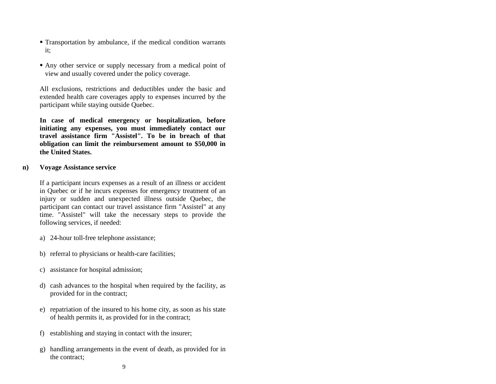- Transportation by ambulance, if the medical condition warrants it;
- Any other service or supply necessary from a medical point of view and usually covered under the policy coverage.

All exclusions, restrictions and deductibles under the basic and extended health care coverages apply to expenses incurred by the participant while staying outside Quebec.

**In case of medical emergency or hospitalization, before initiating any expenses, you must immediately contact our travel assistance firm "Assistel". To be in breach of that obligation can limit the reimbursement amount to \$50,000 in the United States.** 

#### **n) Voyage Assistance service**

If a participant incurs expenses as a result of an illness or accident in Quebec or if he incurs expenses for emergency treatment of an injury or sudden and unexpected illness outside Quebec, the participant can contact our travel assistance firm "Assistel" at any time. "Assistel" will take the necessary steps to provide the following services, if needed:

- a) 24-hour toll-free telephone assistance;
- b) referral to physicians or health-care facilities;
- c) assistance for hospital admission;
- d) cash advances to the hospital when required by the facility, as provided for in the contract;
- e) repatriation of the insured to his home city, as soon as his state of health permits it, as provided for in the contract;
- f) establishing and staying in contact with the insurer;
- g) handling arrangements in the event of death, as provided for in the contract;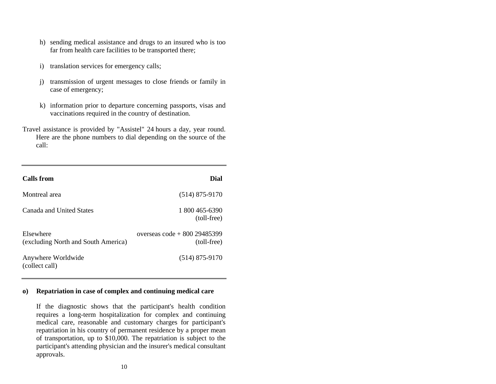- h) sending medical assistance and drugs to an insured who is too far from health care facilities to be transported there;
- i) translation services for emergency calls;
- j) transmission of urgent messages to close friends or family in case of emergency;
- k) information prior to departure concerning passports, visas and vaccinations required in the country of destination.
- Travel assistance is provided by "Assistel" 24 hours a day, year round. Here are the phone numbers to dial depending on the source of the call:

| <b>Calls</b> from                                | Dial                                           |
|--------------------------------------------------|------------------------------------------------|
| Montreal area                                    | $(514)$ 875-9170                               |
| Canada and United States                         | 1 800 465-6390<br>(toll-free)                  |
| Elsewhere<br>(excluding North and South America) | overseas $\cot^2 800\,29485399$<br>(toll-free) |
| Anywhere Worldwide<br>(collect call)             | $(514)$ 875-9170                               |

#### **o) Repatriation in case of complex and continuing medical care**

If the diagnostic shows that the participant's health condition requires a long-term hospitalization for complex and continuing medical care, reasonable and customary charges for participant's repatriation in his country of permanent residence by a proper mean of transportation, up to \$10,000. The repatriation is subject to the participant's attending physician and the insurer's medical consultant approvals.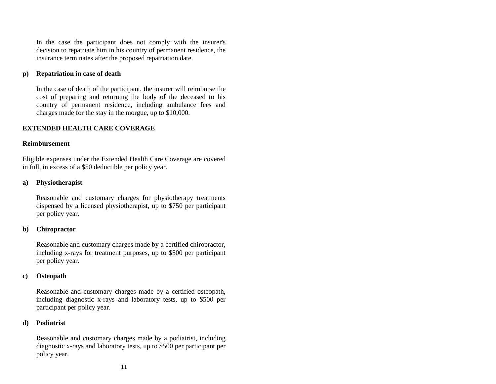In the case the participant does not comply with the insurer's decision to repatriate him in his country of permanent residence, the insurance terminates after the proposed repatriation date.

#### **p) Repatriation in case of death**

In the case of death of the participant, the insurer will reimburse the cost of preparing and returning the body of the deceased to his country of permanent residence, including ambulance fees and charges made for the stay in the morgue, up to \$10,000.

#### <span id="page-13-0"></span>**EXTENDED HEALTH CARE COVERAGE**

#### **Reimbursement**

Eligible expenses under the Extended Health Care Coverage are covered in full, in excess of a \$50 deductible per policy year.

#### **a) Physiotherapist**

Reasonable and customary charges for physiotherapy treatments dispensed by a licensed physiotherapist, up to \$750 per participant per policy year.

#### **b) Chiropractor**

Reasonable and customary charges made by a certified chiropractor, including x-rays for treatment purposes, up to \$500 per participant per policy year.

#### **c) Osteopath**

Reasonable and customary charges made by a certified osteopath, including diagnostic x-rays and laboratory tests, up to \$500 per participant per policy year.

#### **d) Podiatrist**

Reasonable and customary charges made by a podiatrist, including diagnostic x-rays and laboratory tests, up to \$500 per participant per policy year.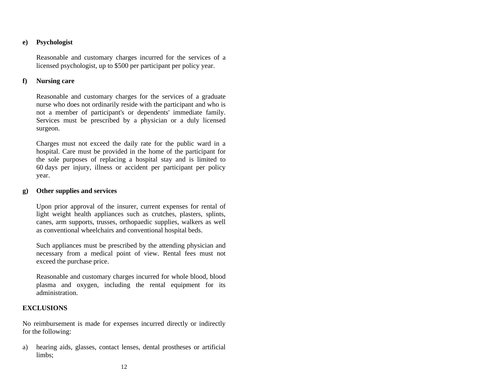# **e) Psychologist**

Reasonable and customary charges incurred for the services of a licensed psychologist, up to \$500 per participant per policy year.

#### **f) Nursing care**

Reasonable and customary charges for the services of a graduate nurse who does not ordinarily reside with the participant and who is not a member of participant's or dependents' immediate family. Services must be prescribed by a physician or a duly licensed surgeon.

Charges must not exceed the daily rate for the public ward in a hospital. Care must be provided in the home of the participant for the sole purposes of replacing a hospital stay and is limited to 60 days per injury, illness or accident per participant per policy year.

#### **g) Other supplies and services**

Upon prior approval of the insurer, current expenses for rental of light weight health appliances such as crutches, plasters, splints, canes, arm supports, trusses, orthopaedic supplies, walkers as well as conventional wheelchairs and conventional hospital beds.

Such appliances must be prescribed by the attending physician and necessary from a medical point of view. Rental fees must not exceed the purchase price.

Reasonable and customary charges incurred for whole blood, blood plasma and oxygen, including the rental equipment for its administration.

#### <span id="page-14-0"></span>**EXCLUSIONS**

No reimbursement is made for expenses incurred directly or indirectly for the following:

a) hearing aids, glasses, contact lenses, dental prostheses or artificial limbs;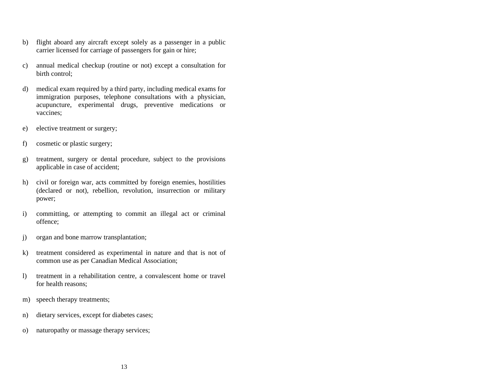- b) flight aboard any aircraft except solely as a passenger in a public carrier licensed for carriage of passengers for gain or hire;
- c) annual medical checkup (routine or not) except a consultation for birth control;
- d) medical exam required by a third party, including medical exams for immigration purposes, telephone consultations with a physician, acupuncture, experimental drugs, preventive medications or vaccines;
- e) elective treatment or surgery;
- f) cosmetic or plastic surgery;
- g) treatment, surgery or dental procedure, subject to the provisions applicable in case of accident;
- h) civil or foreign war, acts committed by foreign enemies, hostilities (declared or not), rebellion, revolution, insurrection or military power;
- i) committing, or attempting to commit an illegal act or criminal offence;
- j) organ and bone marrow transplantation;
- k) treatment considered as experimental in nature and that is not of common use as per Canadian Medical Association;
- l) treatment in a rehabilitation centre, a convalescent home or travel for health reasons;
- m) speech therapy treatments;
- n) dietary services, except for diabetes cases;
- o) naturopathy or massage therapy services;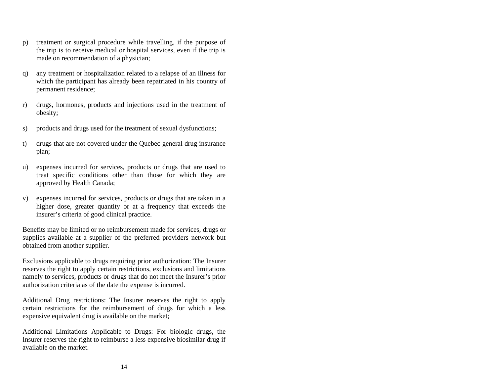- p) treatment or surgical procedure while travelling, if the purpose of the trip is to receive medical or hospital services, even if the trip is made on recommendation of a physician;
- q) any treatment or hospitalization related to a relapse of an illness for which the participant has already been repatriated in his country of permanent residence;
- r) drugs, hormones, products and injections used in the treatment of obesity;
- s) products and drugs used for the treatment of sexual dysfunctions;
- t) drugs that are not covered under the Quebec general drug insurance plan;
- u) expenses incurred for services, products or drugs that are used to treat specific conditions other than those for which they are approved by Health Canada;
- v) expenses incurred for services, products or drugs that are taken in a higher dose, greater quantity or at a frequency that exceeds the insurer's criteria of good clinical practice.

Benefits may be limited or no reimbursement made for services, drugs or supplies available at a supplier of the preferred providers network but obtained from another supplier.

Exclusions applicable to drugs requiring prior authorization: The Insurer reserves the right to apply certain restrictions, exclusions and limitations namely to services, products or drugs that do not meet the Insurer's prior authorization criteria as of the date the expense is incurred.

Additional Drug restrictions: The Insurer reserves the right to apply certain restrictions for the reimbursement of drugs for which a less expensive equivalent drug is available on the market;

Additional Limitations Applicable to Drugs: For biologic drugs, the Insurer reserves the right to reimburse a less expensive biosimilar drug if available on the market.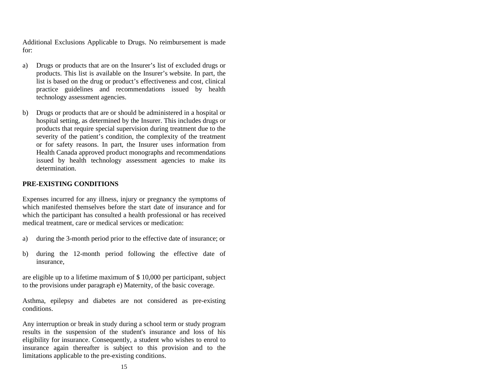Additional Exclusions Applicable to Drugs. No reimbursement is made for:

- a) Drugs or products that are on the Insurer's list of excluded drugs or products. This list is available on the Insurer's website. In part, the list is based on the drug or product's effectiveness and cost, clinical practice guidelines and recommendations issued by health technology assessment agencies.
- b) Drugs or products that are or should be administered in a hospital or hospital setting, as determined by the Insurer. This includes drugs or products that require special supervision during treatment due to the severity of the patient's condition, the complexity of the treatment or for safety reasons. In part, the Insurer uses information from Health Canada approved product monographs and recommendations issued by health technology assessment agencies to make its determination.

# <span id="page-17-0"></span>**PRE-EXISTING CONDITIONS**

Expenses incurred for any illness, injury or pregnancy the symptoms of which manifested themselves before the start date of insurance and for which the participant has consulted a health professional or has received medical treatment, care or medical services or medication:

- a) during the 3-month period prior to the effective date of insurance; or
- b) during the 12-month period following the effective date of insurance,

are eligible up to a lifetime maximum of \$ 10,000 per participant, subject to the provisions under paragraph e) Maternity, of the basic coverage.

Asthma, epilepsy and diabetes are not considered as pre-existing conditions.

<span id="page-17-1"></span>Any interruption or break in study during a school term or study program results in the suspension of the student's insurance and loss of his eligibility for insurance. Consequently, a student who wishes to enrol to insurance again thereafter is subject to this provision and to the limitations applicable to the pre-existing conditions.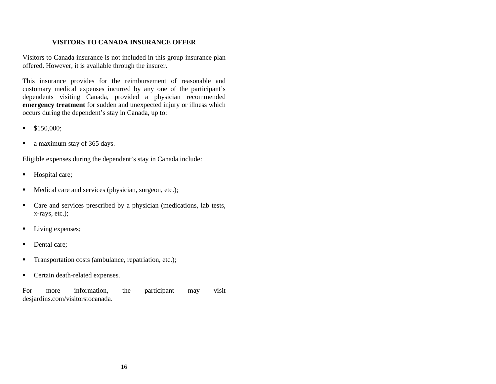# **VISITORS TO CANADA INSURANCE OFFER**

Visitors to Canada insurance is not included in this group insurance plan offered. However, it is available through the insurer.

This insurance provides for the reimbursement of reasonable and customary medical expenses incurred by any one of the participant's dependents visiting Canada, provided a physician recommended **emergency treatment** for sudden and unexpected injury or illness which occurs during the dependent's stay in Canada, up to:

- $\blacksquare$  \$150,000;
- a maximum stay of 365 days.

Eligible expenses during the dependent's stay in Canada include:

- Hospital care;
- Medical care and services (physician, surgeon, etc.);
- Care and services prescribed by a physician (medications, lab tests, x-rays, etc.);
- Living expenses;
- Dental care:
- Transportation costs (ambulance, repatriation, etc.);
- Certain death-related expenses.

For more information, the participant may visit desjardins.com/visitorstocanada.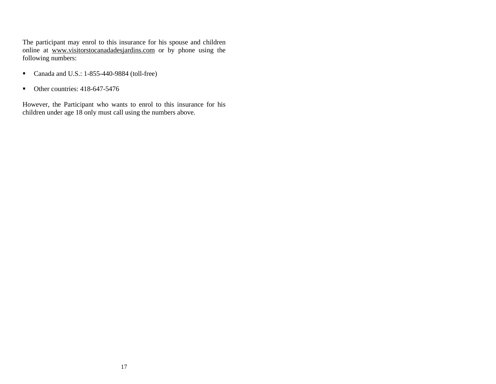The participant may enrol to this insurance for his spouse and children online at [www.visitorstocanadadesjardins.com](http://www.visitorstocanadadesjardins.com/) or by phone using the following numbers:

- Canada and U.S.: 1-855-440-9884 (toll-free)
- Other countries: 418-647-5476

However, the Participant who wants to enrol to this insurance for his children under age 18 only must call using the numbers above.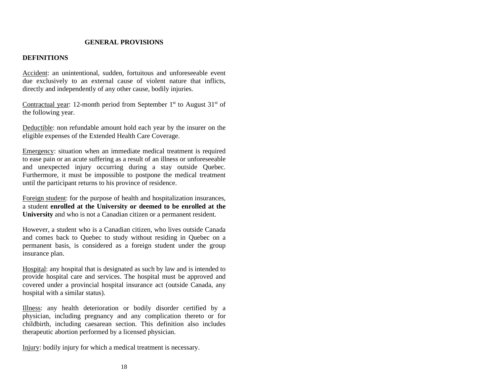# **GENERAL PROVISIONS**

#### <span id="page-20-1"></span><span id="page-20-0"></span>**DEFINITIONS**

Accident: an unintentional, sudden, fortuitous and unforeseeable event due exclusively to an external cause of violent nature that inflicts, directly and independently of any other cause, bodily injuries.

Contractual year: 12-month period from September  $1<sup>st</sup>$  to August  $31<sup>st</sup>$  of the following year.

Deductible: non refundable amount hold each year by the insurer on the eligible expenses of the Extended Health Care Coverage.

Emergency: situation when an immediate medical treatment is required to ease pain or an acute suffering as a result of an illness or unforeseeable and unexpected injury occurring during a stay outside Quebec. Furthermore, it must be impossible to postpone the medical treatment until the participant returns to his province of residence.

Foreign student: for the purpose of health and hospitalization insurances, a student **enrolled at the University or deemed to be enrolled at the University** and who is not a Canadian citizen or a permanent resident.

However, a student who is a Canadian citizen, who lives outside Canada and comes back to Quebec to study without residing in Quebec on a permanent basis, is considered as a foreign student under the group insurance plan.

Hospital: any hospital that is designated as such by law and is intended to provide hospital care and services. The hospital must be approved and covered under a provincial hospital insurance act (outside Canada, any hospital with a similar status).

Illness: any health deterioration or bodily disorder certified by a physician, including pregnancy and any complication thereto or for childbirth, including caesarean section. This definition also includes therapeutic abortion performed by a licensed physician.

Injury: bodily injury for which a medical treatment is necessary.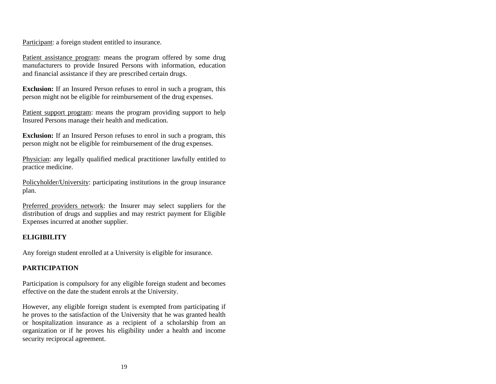Participant: a foreign student entitled to insurance.

Patient assistance program: means the program offered by some drug manufacturers to provide Insured Persons with information, education and financial assistance if they are prescribed certain drugs.

**Exclusion:** If an Insured Person refuses to enrol in such a program, this person might not be eligible for reimbursement of the drug expenses.

Patient support program: means the program providing support to help Insured Persons manage their health and medication.

**Exclusion:** If an Insured Person refuses to enrol in such a program, this person might not be eligible for reimbursement of the drug expenses.

Physician: any legally qualified medical practitioner lawfully entitled to practice medicine.

Policyholder/University: participating institutions in the group insurance plan.

Preferred providers network: the Insurer may select suppliers for the distribution of drugs and supplies and may restrict payment for Eligible Expenses incurred at another supplier.

# <span id="page-21-0"></span>**ELIGIBILITY**

Any foreign student enrolled at a University is eligible for insurance.

# <span id="page-21-1"></span>**PARTICIPATION**

Participation is compulsory for any eligible foreign student and becomes effective on the date the student enrols at the University.

However, any eligible foreign student is exempted from participating if he proves to the satisfaction of the University that he was granted health or hospitalization insurance as a recipient of a scholarship from an organization or if he proves his eligibility under a health and income security reciprocal agreement.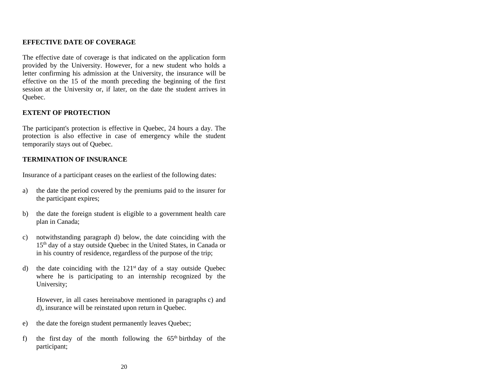# <span id="page-22-0"></span>**EFFECTIVE DATE OF COVERAGE**

The effective date of coverage is that indicated on the application form provided by the University. However, for a new student who holds a letter confirming his admission at the University, the insurance will be effective on the 15 of the month preceding the beginning of the first session at the University or, if later, on the date the student arrives in Quebec.

# <span id="page-22-1"></span>**EXTENT OF PROTECTION**

The participant's protection is effective in Quebec, 24 hours a day. The protection is also effective in case of emergency while the student temporarily stays out of Quebec.

# <span id="page-22-2"></span>**TERMINATION OF INSURANCE**

Insurance of a participant ceases on the earliest of the following dates:

- a) the date the period covered by the premiums paid to the insurer for the participant expires;
- b) the date the foreign student is eligible to a government health care plan in Canada;
- c) notwithstanding paragraph d) below, the date coinciding with the 15<sup>th</sup> day of a stay outside Quebec in the United States, in Canada or in his country of residence, regardless of the purpose of the trip;
- d) the date coinciding with the  $121<sup>st</sup>$  day of a stay outside Quebec where he is participating to an internship recognized by the University;

However, in all cases hereinabove mentioned in paragraphs c) and d), insurance will be reinstated upon return in Quebec.

- e) the date the foreign student permanently leaves Quebec;
- f) the first day of the month following the  $65<sup>th</sup>$  birthday of the participant;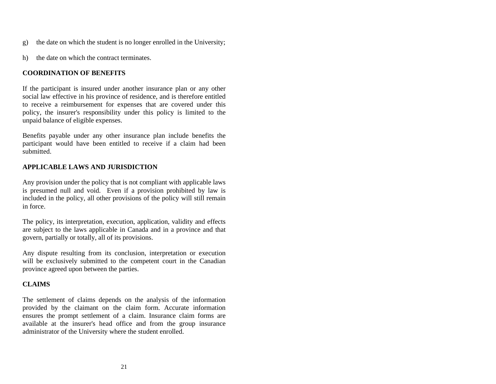- g) the date on which the student is no longer enrolled in the University;
- h) the date on which the contract terminates.

# <span id="page-23-0"></span>**COORDINATION OF BENEFITS**

If the participant is insured under another insurance plan or any other social law effective in his province of residence, and is therefore entitled to receive a reimbursement for expenses that are covered under this policy, the insurer's responsibility under this policy is limited to the unpaid balance of eligible expenses.

Benefits payable under any other insurance plan include benefits the participant would have been entitled to receive if a claim had been submitted.

# <span id="page-23-1"></span>**APPLICABLE LAWS AND JURISDICTION**

Any provision under the policy that is not compliant with applicable laws is presumed null and void. Even if a provision prohibited by law is included in the policy, all other provisions of the policy will still remain in force.

The policy, its interpretation, execution, application, validity and effects are subject to the laws applicable in Canada and in a province and that govern, partially or totally, all of its provisions.

Any dispute resulting from its conclusion, interpretation or execution will be exclusively submitted to the competent court in the Canadian province agreed upon between the parties.

# <span id="page-23-2"></span>**CLAIMS**

The settlement of claims depends on the analysis of the information provided by the claimant on the claim form. Accurate information ensures the prompt settlement of a claim. Insurance claim forms are available at the insurer's head office and from the group insurance administrator of the University where the student enrolled.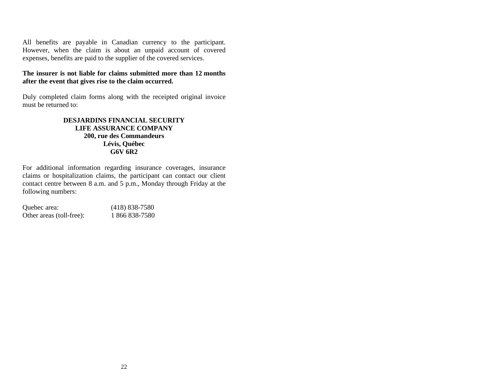All benefits are payable in Canadian currency to the participant. However, when the claim is about an unpaid account of covered expenses, benefits are paid to the supplier of the covered services.

#### **The insurer is not liable for claims submitted more than 12 months after the event that gives rise to the claim occurred.**

Duly completed claim forms along with the receipted original invoice must be returned to:

#### **DESJARDINS FINANCIAL SECURITY LIFE ASSURANCE COMPANY 200, rue des Commandeurs Lévis, Québec G6V 6R2**

For additional information regarding insurance coverages, insurance claims or hospitalization claims, the participant can contact our client contact centre between 8 a.m. and 5 p.m., Monday through Friday at the following numbers:

| Quebec area:             | $(418)$ 838-7580 |
|--------------------------|------------------|
| Other areas (toll-free): | 1 866 838-7580   |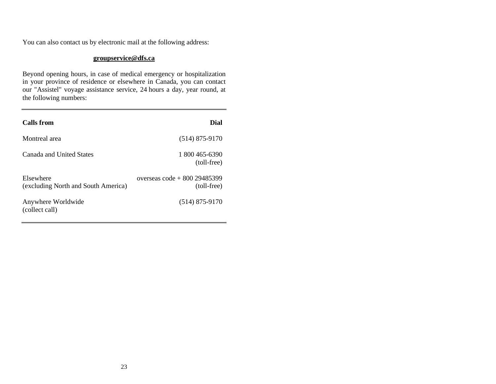You can also contact us by electronic mail at the following address:

#### **groupservice@dfs.ca**

Beyond opening hours, in case of medical emergency or hospitalization in your province of residence or elsewhere in Canada, you can contact our "Assistel" voyage assistance service, 24 hours a day, year round, at the following numbers:

| <b>Calls</b> from                                | <b>Dial</b>                                    |
|--------------------------------------------------|------------------------------------------------|
| Montreal area                                    | $(514)$ 875-9170                               |
| Canada and United States                         | 1 800 465-6390<br>(toll-free)                  |
| Elsewhere<br>(excluding North and South America) | overseas $\cot^2 800\,29485399$<br>(toll-free) |
| Anywhere Worldwide<br>(collect call)             | $(514)$ 875-9170                               |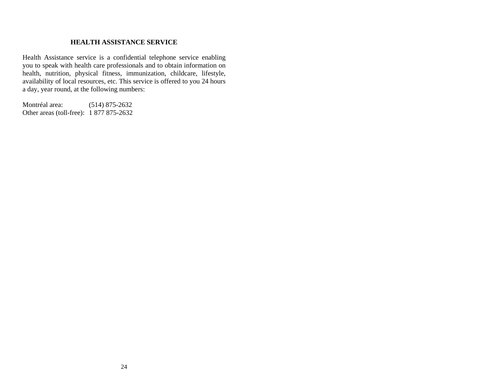#### **HEALTH ASSISTANCE SERVICE**

<span id="page-26-0"></span>Health Assistance service is a confidential telephone service enabling you to speak with health care professionals and to obtain information on health, nutrition, physical fitness, immunization, childcare, lifestyle, availability of local resources, etc. This service is offered to you 24 hours a day, year round, at the following numbers:

Montréal area: (514) 875-2632 Other areas (toll-free): 1 877 875-2632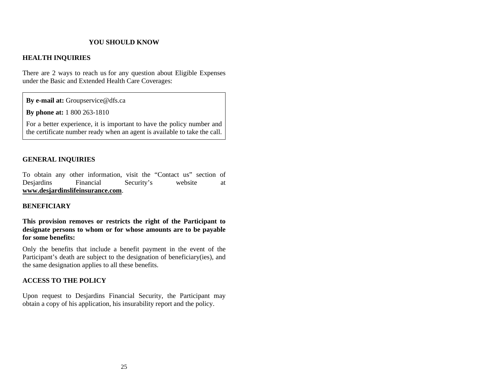# **YOU SHOULD KNOW**

#### <span id="page-27-0"></span>**HEALTH INQUIRIES**

There are 2 ways to reach us for any question about Eligible Expenses under the Basic and Extended Health Care Coverages:

**By e-mail at:** Groupservice@dfs.ca

**By phone at:** 1 800 263-1810

For a better experience, it is important to have the policy number and the certificate number ready when an agent is available to take the call.

# **GENERAL INQUIRIES**

To obtain any other information, visit the "Contact us" section of Desjardins Financial Security's website at **[www.desjardinslifeinsurance.com](http://www.desjardinslifeinsurance.com/)**.

#### **BENEFICIARY**

**This provision removes or restricts the right of the Participant to designate persons to whom or for whose amounts are to be payable for some benefits:** 

Only the benefits that include a benefit payment in the event of the Participant's death are subject to the designation of beneficiary(ies), and the same designation applies to all these benefits.

#### **ACCESS TO THE POLICY**

Upon request to Desjardins Financial Security, the Participant may obtain a copy of his application, his insurability report and the policy.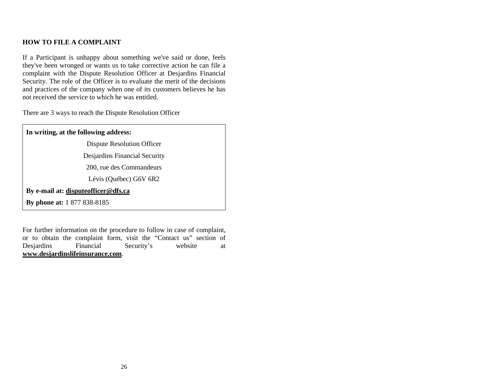# **HOW TO FILE A COMPLAINT**

If a Participant is unhappy about something we've said or done, feels they've been wronged or wants us to take corrective action he can file a complaint with the Dispute Resolution Officer at Desjardins Financial Security. The role of the Officer is to evaluate the merit of the decisions and practices of the company when one of its customers believes he has not received the service to which he was entitled.

There are 3 ways to reach the Dispute Resolution Officer

| In writing, at the following address: |
|---------------------------------------|
| Dispute Resolution Officer            |
| Desjarding Financial Security         |
| 200, rue des Commandeurs              |
| Lévis (Québec) G6V 6R2                |
| By e-mail at: dispute officer @dfs.ca |
| <b>By phone at:</b> 1 877 838-8185    |

For further information on the procedure to follow in case of complaint, or to obtain the complaint form, visit the "Contact us" section of Desjardins Financial Security's website at **[www.desjardinslifeinsurance.com](http://www.desjardinslifeinsurance.com/)**.